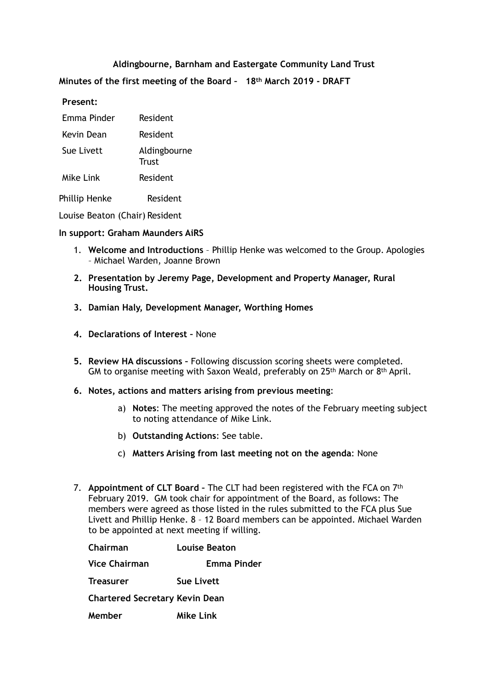# **Aldingbourne, Barnham and Eastergate Community Land Trust**

**Minutes of the first meeting of the Board – 18th March 2019 - DRAFT** 

#### **Present:**

| Emma Pinder          | Resident              |
|----------------------|-----------------------|
| Kevin Dean           | Resident              |
| Sue Livett           | Aldingbourne<br>Trust |
| Mike Link            | <b>Resident</b>       |
| <b>Phillip Henke</b> | Resident              |

Louise Beaton (Chair) Resident

#### **In support: Graham Maunders AiRS**

- 1. **Welcome and Introductions** Phillip Henke was welcomed to the Group. Apologies – Michael Warden, Joanne Brown
- **2. Presentation by Jeremy Page, Development and Property Manager, Rural Housing Trust.**
- **3. Damian Haly, Development Manager, Worthing Homes**
- **4. Declarations of Interest** None
- **5. Review HA discussions** Following discussion scoring sheets were completed. GM to organise meeting with Saxon Weald, preferably on 25th March or 8th April.
- **6. Notes, actions and matters arising from previous meeting**:
	- a) **Notes**: The meeting approved the notes of the February meeting subject to noting attendance of Mike Link.
	- b) **Outstanding Actions**: See table.
	- c) **Matters Arising from last meeting not on the agenda**: None
- 7. **Appointment of CLT Board** The CLT had been registered with the FCA on 7th February 2019. GM took chair for appointment of the Board, as follows: The members were agreed as those listed in the rules submitted to the FCA plus Sue Livett and Phillip Henke. 8 – 12 Board members can be appointed. Michael Warden to be appointed at next meeting if willing.

| Chairman                              | Louise Beaton     |
|---------------------------------------|-------------------|
| <b>Vice Chairman</b>                  | Emma Pinder       |
| <b>Treasurer</b>                      | <b>Sue Livett</b> |
| <b>Chartered Secretary Kevin Dean</b> |                   |
| Member                                | Mike Link         |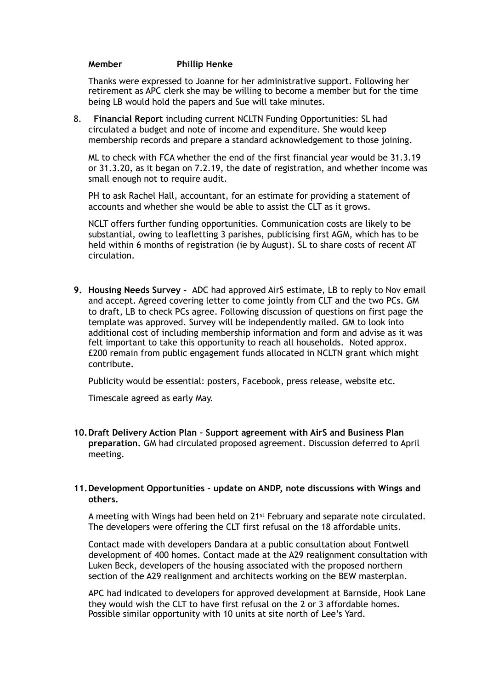#### **Member Phillip Henke**

Thanks were expressed to Joanne for her administrative support. Following her retirement as APC clerk she may be willing to become a member but for the time being LB would hold the papers and Sue will take minutes.

8. **Financial Report** including current NCLTN Funding Opportunities: SL had circulated a budget and note of income and expenditure. She would keep membership records and prepare a standard acknowledgement to those joining.

ML to check with FCA whether the end of the first financial year would be 31.3.19 or 31.3.20, as it began on 7.2.19, the date of registration, and whether income was small enough not to require audit.

PH to ask Rachel Hall, accountant, for an estimate for providing a statement of accounts and whether she would be able to assist the CLT as it grows.

NCLT offers further funding opportunities. Communication costs are likely to be substantial, owing to leafletting 3 parishes, publicising first AGM, which has to be held within 6 months of registration (ie by August). SL to share costs of recent AT circulation.

**9. Housing Needs Survey –** ADC had approved AirS estimate, LB to reply to Nov email and accept. Agreed covering letter to come jointly from CLT and the two PCs. GM to draft, LB to check PCs agree. Following discussion of questions on first page the template was approved. Survey will be independently mailed. GM to look into additional cost of including membership information and form and advise as it was felt important to take this opportunity to reach all households. Noted approx. £200 remain from public engagement funds allocated in NCLTN grant which might contribute.

Publicity would be essential: posters, Facebook, press release, website etc.

Timescale agreed as early May.

**10.Draft Delivery Action Plan – Support agreement with AirS and Business Plan preparation.** GM had circulated proposed agreement. Discussion deferred to April meeting.

#### **11.Development Opportunities – update on ANDP, note discussions with Wings and others.**

A meeting with Wings had been held on 21st February and separate note circulated. The developers were offering the CLT first refusal on the 18 affordable units.

Contact made with developers Dandara at a public consultation about Fontwell development of 400 homes. Contact made at the A29 realignment consultation with Luken Beck, developers of the housing associated with the proposed northern section of the A29 realignment and architects working on the BEW masterplan.

APC had indicated to developers for approved development at Barnside, Hook Lane they would wish the CLT to have first refusal on the 2 or 3 affordable homes. Possible similar opportunity with 10 units at site north of Lee's Yard.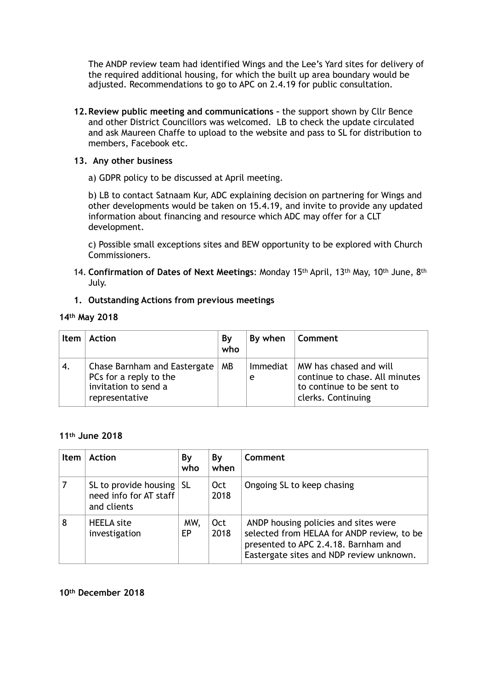The ANDP review team had identified Wings and the Lee's Yard sites for delivery of the required additional housing, for which the built up area boundary would be adjusted. Recommendations to go to APC on 2.4.19 for public consultation.

**12.Review public meeting and communications –** the support shown by Cllr Bence and other District Councillors was welcomed. LB to check the update circulated and ask Maureen Chaffe to upload to the website and pass to SL for distribution to members, Facebook etc.

# **13. Any other business**

a) GDPR policy to be discussed at April meeting.

b) LB to contact Satnaam Kur, ADC explaining decision on partnering for Wings and other developments would be taken on 15.4.19, and invite to provide any updated information about financing and resource which ADC may offer for a CLT development.

c) Possible small exceptions sites and BEW opportunity to be explored with Church Commissioners.

- 14. **Confirmation of Dates of Next Meetings**: Monday 15th April, 13th May, 10th June, 8th July.
- **1. Outstanding Actions from previous meetings**

## **14th May 2018**

| <b>Item</b> | <b>Action</b>                                                                                    | By<br>who | By when       | Comment                                                                                                     |
|-------------|--------------------------------------------------------------------------------------------------|-----------|---------------|-------------------------------------------------------------------------------------------------------------|
| 4.          | Chase Barnham and Eastergate<br>PCs for a reply to the<br>invitation to send a<br>representative | MВ        | Immediat<br>e | MW has chased and will<br>continue to chase. All minutes<br>to continue to be sent to<br>clerks. Continuing |

## **11th June 2018**

| ltem | <b>Action</b>                                                             | By<br>who  | Bγ<br>when         | Comment                                                                                                                                                                |
|------|---------------------------------------------------------------------------|------------|--------------------|------------------------------------------------------------------------------------------------------------------------------------------------------------------------|
|      | SL to provide housing $\vert$ SL<br>need info for AT staff<br>and clients |            | Oct<br>2018        | Ongoing SL to keep chasing                                                                                                                                             |
| 8    | <b>HEELA</b> site<br>investigation                                        | MW,<br>EP. | <b>Oct</b><br>2018 | ANDP housing policies and sites were<br>selected from HELAA for ANDP review, to be<br>presented to APC 2.4.18. Barnham and<br>Eastergate sites and NDP review unknown. |

## **10th December 2018**